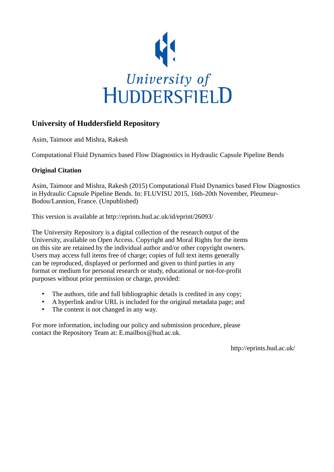

# **University of Huddersfield Repository**

Asim, Taimoor and Mishra, Rakesh

Computational Fluid Dynamics based Flow Diagnostics in Hydraulic Capsule Pipeline Bends

## **Original Citation**

Asim, Taimoor and Mishra, Rakesh (2015) Computational Fluid Dynamics based Flow Diagnostics in Hydraulic Capsule Pipeline Bends. In: FLUVISU 2015, 16th-20th November, Pleumeur-Bodou/Lannion, France. (Unpublished)

This version is available at http://eprints.hud.ac.uk/id/eprint/26093/

The University Repository is a digital collection of the research output of the University, available on Open Access. Copyright and Moral Rights for the items on this site are retained by the individual author and/or other copyright owners. Users may access full items free of charge; copies of full text items generally can be reproduced, displayed or performed and given to third parties in any format or medium for personal research or study, educational or not-for-profit purposes without prior permission or charge, provided:

- The authors, title and full bibliographic details is credited in any copy;
- A hyperlink and/or URL is included for the original metadata page; and
- The content is not changed in any way.

For more information, including our policy and submission procedure, please contact the Repository Team at: E.mailbox@hud.ac.uk.

http://eprints.hud.ac.uk/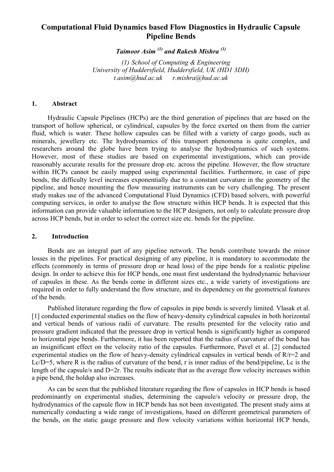## **Computational Fluid Dynamics based Flow Diagnostics in Hydraulic Capsule Pipeline Bends**

*Taimoor Asim (1) and Rakesh Mishra (1)*

*(1) School of Computing & Engineering University of Huddersfield, Huddersfield, UK (HD1 3DH) t.asim@hud.ac.uk r.mishra@hud.ac.uk* 

#### **1. Abstract**

Hydraulic Capsule Pipelines (HCPs) are the third generation of pipelines that are based on the transport of hollow spherical, or cylindrical, capsules by the force exerted on them from the carrier fluid, which is water. These hollow capsules can be filled with a variety of cargo goods, such as minerals, jewellery etc. The hydrodynamics of this transport phenomena is quite complex, and researchers around the globe have been trying to analyse the hydrodynamics of such systems. However, most of these studies are based on experimental investigations, which can provide reasonably accurate results for the pressure drop etc. across the pipeline. However, the flow structure within HCPs cannot be easily mapped using experimental facilities. Furthermore, in case of pipe bends, the difficulty level increases exponentially due to a constant curvature in the geometry of the pipeline, and hence mounting the flow measuring instruments can be very challenging. The present study makes use of the advanced Computational Fluid Dynamics (CFD) based solvers, with powerful computing services, in order to analyse the flow structure within HCP bends. It is expected that this information can provide valuable information to the HCP designers, not only to calculate pressure drop across HCP bends, but in order to select the correct size etc. bends for the pipeline.

## **2. Introduction**

Bends are an integral part of any pipeline network. The bends contribute towards the minor losses in the pipelines. For practical designing of any pipeline, it is mandatory to accommodate the effects (commonly in terms of pressure drop or head loss) of the pipe bends for a realistic pipeline design. In order to achieve this for HCP bends, one must first understand the hydrodynamic behaviour of capsules in these. As the bends come in different sizes etc., a wide variety of investigations are required in order to fully understand the flow structure, and its dependency on the geometrical features of the bends.

Published literature regarding the flow of capsules in pipe bends is severely limited. Vlasak et al. [1] conducted experimental studies on the flow of heavy-density cylindrical capsules in both horizontal and vertical bends of various radii of curvature. The results presented for the velocity ratio and pressure gradient indicated that the pressure drop in vertical bends is significantly higher as compared to horizontal pipe bends. Furthermore, it has been reported that the radius of curvature of the bend has an insignificant effect on the velocity ratio of the capsules. Furthermore, Pavel et al. [2] conducted experimental studies on the flow of heavy-density cylindrical capsules in vertical bends of R/r=2 and Lc/D=5, where R is the radius of curvature of the bend, r is inner radius of the bend/pipeline, Lc is the length of the capsule/s and D=2r. The results indicate that as the average flow velocity increases within a pipe bend, the holdup also increases.

As can be seen that the published literature regarding the flow of capsules in HCP bends is based predominantly on experimental studies, determining the capsule/s velocity or pressure drop, the hydrodynamics of the capsule flow in HCP bends has not been investigated. The present study aims at numerically conducting a wide range of investigations, based on different geometrical parameters of the bends, on the static gauge pressure and flow velocity variations within horizontal HCP bends,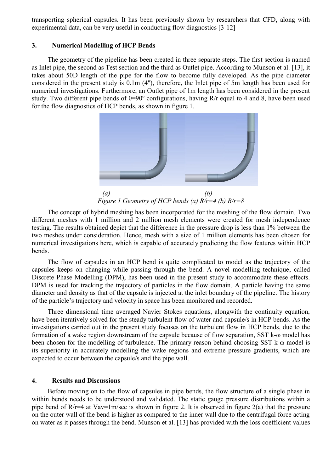transporting spherical capsules. It has been previously shown by researchers that CFD, along with experimental data, can be very useful in conducting flow diagnostics [3-12]

#### **3. Numerical Modelling of HCP Bends**

The geometry of the pipeline has been created in three separate steps. The first section is named as Inlet pipe, the second as Test section and the third as Outlet pipe. According to Munson et al. [13], it takes about 50D length of the pipe for the flow to become fully developed. As the pipe diameter considered in the present study is 0.1m (4''), therefore, the Inlet pipe of 5m length has been used for numerical investigations. Furthermore, an Outlet pipe of 1m length has been considered in the present study. Two different pipe bends of  $\theta = 90^\circ$  configurations, having R/r equal to 4 and 8, have been used for the flow diagnostics of HCP bends, as shown in figure 1.



*Figure 1 Geometry of HCP bends (a) R/r=4 (b) R/r=8*

The concept of hybrid meshing has been incorporated for the meshing of the flow domain. Two different meshes with 1 million and 2 million mesh elements were created for mesh independence testing. The results obtained depict that the difference in the pressure drop is less than 1% between the two meshes under consideration. Hence, mesh with a size of 1 million elements has been chosen for numerical investigations here, which is capable of accurately predicting the flow features within HCP bends.

The flow of capsules in an HCP bend is quite complicated to model as the trajectory of the capsules keeps on changing while passing through the bend. A novel modelling technique, called Discrete Phase Modelling (DPM), has been used in the present study to accommodate these effects. DPM is used for tracking the trajectory of particles in the flow domain. A particle having the same diameter and density as that of the capsule is injected at the inlet boundary of the pipeline. The history of the particle's trajectory and velocity in space has been monitored and recorded.

Three dimensional time averaged Navier Stokes equations, alongwith the continuity equation, have been iteratively solved for the steady turbulent flow of water and capsule/s in HCP bends. As the investigations carried out in the present study focuses on the turbulent flow in HCP bends, due to the formation of a wake region downstream of the capsule because of flow separation, SST k-ω model has been chosen for the modelling of turbulence. The primary reason behind choosing SST k-ω model is its superiority in accurately modelling the wake regions and extreme pressure gradients, which are expected to occur between the capsule/s and the pipe wall.

#### **4. Results and Discussions**

Before moving on to the flow of capsules in pipe bends, the flow structure of a single phase in within bends needs to be understood and validated. The static gauge pressure distributions within a pipe bend of R/r=4 at Vav=1m/sec is shown in figure 2. It is observed in figure 2(a) that the pressure on the outer wall of the bend is higher as compared to the inner wall due to the centrifugal force acting on water as it passes through the bend. Munson et al. [13] has provided with the loss coefficient values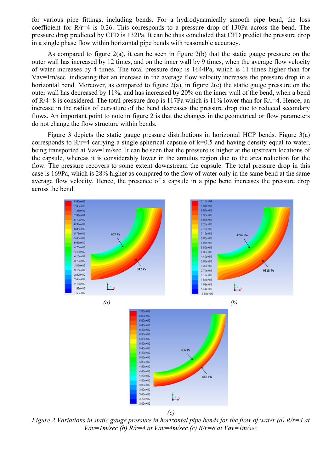for various pipe fittings, including bends. For a hydrodynamically smooth pipe bend, the loss coefficient for R/r=4 is 0.26. This corresponds to a pressure drop of 130Pa across the bend. The pressure drop predicted by CFD is 132Pa. It can be thus concluded that CFD predict the pressure drop in a single phase flow within horizontal pipe bends with reasonable accuracy.

As compared to figure 2(a), it can be seen in figure 2(b) that the static gauge pressure on the outer wall has increased by 12 times, and on the inner wall by 9 times, when the average flow velocity of water increases by 4 times. The total pressure drop is 1644Pa, which is 11 times higher than for Vav=1m/sec, indicating that an increase in the average flow velocity increases the pressure drop in a horizontal bend. Moreover, as compared to figure 2(a), in figure 2(c) the static gauge pressure on the outer wall has decreased by 11%, and has increased by 20% on the inner wall of the bend, when a bend of R/4=8 is considered. The total pressure drop is 117Pa which is 11% lower than for R/r=4. Hence, an increase in the radius of curvature of the bend decreases the pressure drop due to reduced secondary flows. An important point to note in figure 2 is that the changes in the geometrical or flow parameters do not change the flow structure within bends.

Figure 3 depicts the static gauge pressure distributions in horizontal HCP bends. Figure 3(a) corresponds to R/r=4 carrying a single spherical capsule of k=0.5 and having density equal to water, being transported at Vav=1m/sec. It can be seen that the pressure is higher at the upstream locations of the capsule, whereas it is considerably lower in the annulus region due to the area reduction for the flow. The pressure recovers to some extent downstream the capsule. The total pressure drop in this case is 169Pa, which is 28% higher as compared to the flow of water only in the same bend at the same average flow velocity. Hence, the presence of a capsule in a pipe bend increases the pressure drop across the bend.



*Figure 2 Variations in static gauge pressure in horizontal pipe bends for the flow of water (a) R/r=4 at Vav=1m/sec (b) R/r=4 at Vav=4m/sec (c) R/r=8 at Vav=1m/sec*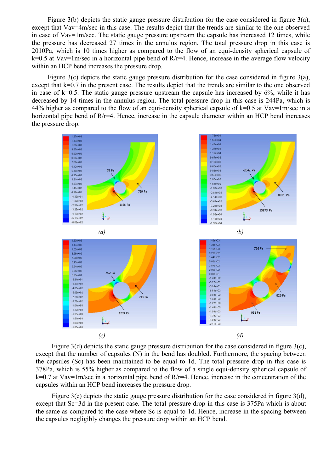Figure 3(b) depicts the static gauge pressure distribution for the case considered in figure  $3(a)$ , except that Vav=4m/sec in this case. The results depict that the trends are similar to the one observed in case of Vav=1m/sec. The static gauge pressure upstream the capsule has increased 12 times, while the pressure has decreased 27 times in the annulus region. The total pressure drop in this case is 2010Pa, which is 10 times higher as compared to the flow of an equi-density spherical capsule of  $k=0.5$  at Vav=1m/sec in a horizontal pipe bend of R/r=4. Hence, increase in the average flow velocity within an HCP bend increases the pressure drop.

Figure 3(c) depicts the static gauge pressure distribution for the case considered in figure 3(a), except that k=0.7 in the present case. The results depict that the trends are similar to the one observed in case of  $k=0.5$ . The static gauge pressure upstream the capsule has increased by  $6\%$ , while it has decreased by 14 times in the annulus region. The total pressure drop in this case is 244Pa, which is 44% higher as compared to the flow of an equi-density spherical capsule of  $k=0.5$  at Vav=1m/sec in a horizontal pipe bend of R/r=4. Hence, increase in the capsule diameter within an HCP bend increases the pressure drop.



Figure 3(d) depicts the static gauge pressure distribution for the case considered in figure 3(c), except that the number of capsules (N) in the bend has doubled. Furthermore, the spacing between the capsules (Sc) has been maintained to be equal to 1d. The total pressure drop in this case is 378Pa, which is 55% higher as compared to the flow of a single equi-density spherical capsule of k=0.7 at Vav=1m/sec in a horizontal pipe bend of R/r=4. Hence, increase in the concentration of the capsules within an HCP bend increases the pressure drop.

Figure 3(e) depicts the static gauge pressure distribution for the case considered in figure 3(d), except that Sc=3d in the present case. The total pressure drop in this case is 375Pa which is about the same as compared to the case where Sc is equal to 1d. Hence, increase in the spacing between the capsules negligibly changes the pressure drop within an HCP bend.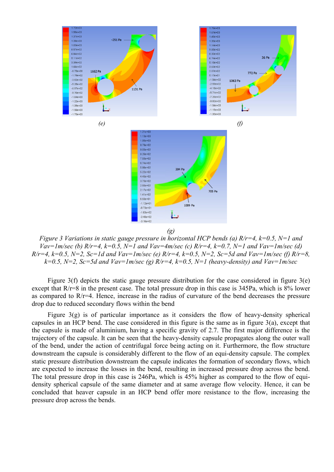

*Figure 3 Variations in static gauge pressure in horizontal HCP bends (a) R/r=4, k=0.5, N=1 and Vav=1m/sec (b) R/r=4, k=0.5, N=1 and Vav=4m/sec (c) R/r=4, k=0.7, N=1 and Vav=1m/sec (d)*  $R/r=4$ ,  $k=0.5$ ,  $N=2$ ,  $Sc=1d$  and  $Vav=Im/sec$  (e)  $R/r=4$ ,  $k=0.5$ ,  $N=2$ ,  $Sc=5d$  and  $Vav=Im/sec$  (f)  $R/r=8$ ,  $k=0.5$ ,  $N=2$ ,  $Sc=5d$  and  $Vav=Im/sec$  (g)  $R/r=4$ ,  $k=0.5$ ,  $N=1$  (heavy-density) and  $Vav=Im/sec$ 

Figure 3(f) depicts the static gauge pressure distribution for the case considered in figure 3(e) except that R/r=8 in the present case. The total pressure drop in this case is 345Pa, which is 8% lower as compared to R/r=4. Hence, increase in the radius of curvature of the bend decreases the pressure drop due to reduced secondary flows within the bend

Figure  $3(g)$  is of particular importance as it considers the flow of heavy-density spherical capsules in an HCP bend. The case considered in this figure is the same as in figure 3(a), except that the capsule is made of aluminium, having a specific gravity of 2.7. The first major difference is the trajectory of the capsule. It can be seen that the heavy-density capsule propagates along the outer wall of the bend, under the action of centrifugal force being acting on it. Furthermore, the flow structure downstream the capsule is considerably different to the flow of an equi-density capsule. The complex static pressure distribution downstream the capsule indicates the formation of secondary flows, which are expected to increase the losses in the bend, resulting in increased pressure drop across the bend. The total pressure drop in this case is 246Pa, which is 45% higher as compared to the flow of equidensity spherical capsule of the same diameter and at same average flow velocity. Hence, it can be concluded that heaver capsule in an HCP bend offer more resistance to the flow, increasing the pressure drop across the bends.